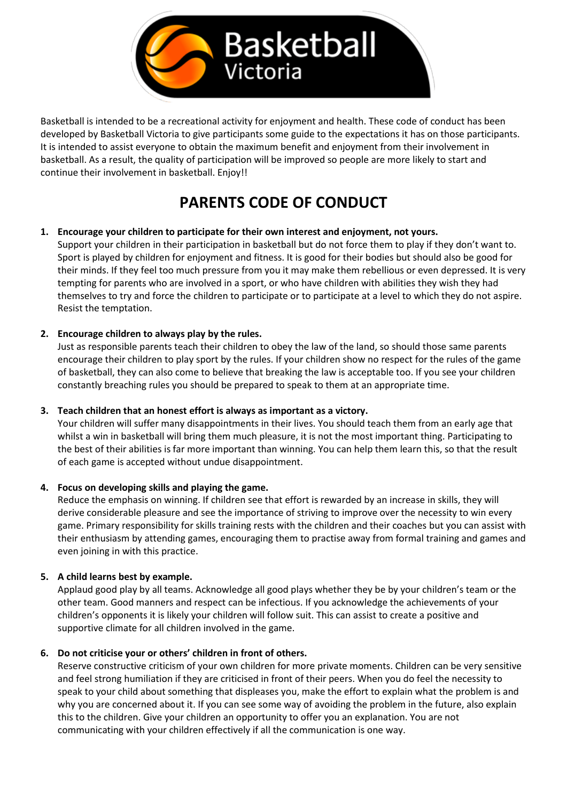

Basketball is intended to be a recreational activity for enjoyment and health. These code of conduct has been developed by Basketball Victoria to give participants some guide to the expectations it has on those participants. It is intended to assist everyone to obtain the maximum benefit and enjoyment from their involvement in basketball. As a result, the quality of participation will be improved so people are more likely to start and continue their involvement in basketball. Enjoy!!

# **PARENTS CODE OF CONDUCT**

# **1. Encourage your children to participate for their own interest and enjoyment, not yours.** Support your children in their participation in basketball but do not force them to play if they don't want to. Sport is played by children for enjoyment and fitness. It is good for their bodies but should also be good for

their minds. If they feel too much pressure from you it may make them rebellious or even depressed. It is very tempting for parents who are involved in a sport, or who have children with abilities they wish they had themselves to try and force the children to participate or to participate at a level to which they do not aspire. Resist the temptation.

# **2. Encourage children to always play by the rules.**

Just as responsible parents teach their children to obey the law of the land, so should those same parents encourage their children to play sport by the rules. If your children show no respect for the rules of the game of basketball, they can also come to believe that breaking the law is acceptable too. If you see your children constantly breaching rules you should be prepared to speak to them at an appropriate time.

# **3. Teach children that an honest effort is always as important as a victory.**

Your children will suffer many disappointments in their lives. You should teach them from an early age that whilst a win in basketball will bring them much pleasure, it is not the most important thing. Participating to the best of their abilities is far more important than winning. You can help them learn this, so that the result of each game is accepted without undue disappointment.

# **4. Focus on developing skills and playing the game.**

Reduce the emphasis on winning. If children see that effort is rewarded by an increase in skills, they will derive considerable pleasure and see the importance of striving to improve over the necessity to win every game. Primary responsibility for skills training rests with the children and their coaches but you can assist with their enthusiasm by attending games, encouraging them to practise away from formal training and games and even joining in with this practice.

# **5. A child learns best by example.**

Applaud good play by all teams. Acknowledge all good plays whether they be by your children's team or the other team. Good manners and respect can be infectious. If you acknowledge the achievements of your children's opponents it is likely your children will follow suit. This can assist to create a positive and supportive climate for all children involved in the game.

# **6. Do not criticise your or others' children in front of others.**

Reserve constructive criticism of your own children for more private moments. Children can be very sensitive and feel strong humiliation if they are criticised in front of their peers. When you do feel the necessity to speak to your child about something that displeases you, make the effort to explain what the problem is and why you are concerned about it. If you can see some way of avoiding the problem in the future, also explain this to the children. Give your children an opportunity to offer you an explanation. You are not communicating with your children effectively if all the communication is one way.